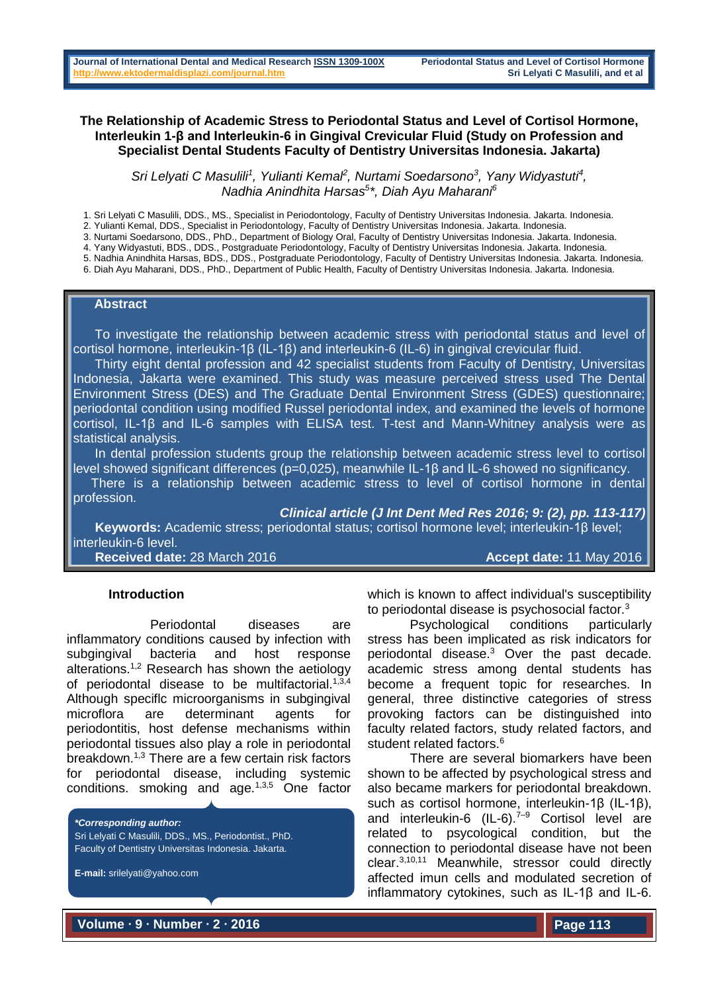### **The Relationship of Academic Stress to Periodontal Status and Level of Cortisol Hormone, Interleukin 1-β and Interleukin-6 in Gingival Crevicular Fluid (Study on Profession and Specialist Dental Students Faculty of Dentistry Universitas Indonesia. Jakarta)**

Sri Lelyati C Masulili<sup>1</sup>, Yulianti Kemal<sup>2</sup>, Nurtami Soedarsono<sup>3</sup>, Yany Widyastuti<sup>4</sup>, *Nadhia Anindhita Harsas<sup>5</sup> \*, Diah Ayu Maharani<sup>6</sup>*

- 1. Sri Lelyati C Masulili, DDS., MS., Specialist in Periodontology, Faculty of Dentistry Universitas Indonesia. Jakarta. Indonesia.
- 2. Yulianti Kemal, DDS., Specialist in Periodontology, Faculty of Dentistry Universitas Indonesia. Jakarta. Indonesia.
- 3. Nurtami Soedarsono, DDS., PhD., Department of Biology Oral, Faculty of Dentistry Universitas Indonesia. Jakarta. Indonesia.
- 4. Yany Widyastuti, BDS., DDS., Postgraduate Periodontology, Faculty of Dentistry Universitas Indonesia. Jakarta. Indonesia.
- 5. Nadhia Anindhita Harsas, BDS., DDS., Postgraduate Periodontology, Faculty of Dentistry Universitas Indonesia. Jakarta. Indonesia.
- 6. Diah Ayu Maharani, DDS., PhD., Department of Public Health, Faculty of Dentistry Universitas Indonesia. Jakarta. Indonesia.

### **Abstract**

 To investigate the relationship between academic stress with periodontal status and level of cortisol hormone, interleukin-1β (IL-1β) and interleukin-6 (IL-6) in gingival crevicular fluid.

 Thirty eight dental profession and 42 specialist students from Faculty of Dentistry, Universitas Indonesia, Jakarta were examined. This study was measure perceived stress used The Dental Environment Stress (DES) and The Graduate Dental Environment Stress (GDES) questionnaire; periodontal condition using modified Russel periodontal index, and examined the levels of hormone cortisol, IL-1β and IL-6 samples with ELISA test. T-test and Mann-Whitney analysis were as statistical analysis.

 In dental profession students group the relationship between academic stress level to cortisol level showed significant differences (p=0,025), meanwhile IL-1β and IL-6 showed no significancy.

 There is a relationship between academic stress to level of cortisol hormone in dental profession.

*Clinical article (J Int Dent Med Res 2016; 9: (2), pp. 113-117)* 

 **Keywords:** Academic stress; periodontal status; cortisol hormone level; interleukin-1β level; interleukin-6 level.

**Received date:** 28 March 2016 **Accept date: 11 May 2016 Accept date: 11 May 2016** 

#### **Introduction**

Periodontal diseases are inflammatory conditions caused by infection with subgingival bacteria and host response alterations.1,2 Research has shown the aetiology of periodontal disease to be multifactorial. $1,3,4$ Although speciflc microorganisms in subgingival microflora are determinant agents for periodontitis, host defense mechanisms within periodontal tissues also play a role in periodontal breakdown.1,3 There are a few certain risk factors for periodontal disease, including systemic conditions. smoking and age.1,3,5 One factor

*\*Corresponding author:* Sri Lelyati C Masulili, DDS., MS., Periodontist., PhD. Faculty of Dentistry Universitas Indonesia. Jakarta.

**E-mail:** [srilelyati@yahoo.com](mailto:srilelyati@yahoo.com) 

which is known to affect individual's susceptibility to periodontal disease is psychosocial factor.<sup>3</sup>

Psychological conditions particularly stress has been implicated as risk indicators for periodontal disease.<sup>3</sup> Over the past decade. academic stress among dental students has become a frequent topic for researches. In general, three distinctive categories of stress provoking factors can be distinguished into faculty related factors, study related factors, and student related factors.<sup>6</sup>

There are several biomarkers have been shown to be affected by psychological stress and also became markers for periodontal breakdown. such as cortisol hormone, interleukin-1β (IL-1β), and interleukin-6 (IL-6).<sup>7-9</sup> Cortisol level are related to psycological condition, but the connection to periodontal disease have not been clear.3,10,11 Meanwhile, stressor could directly affected imun cells and modulated secretion of inflammatory cytokines, such as IL-1β and IL-6.

**Volume ∙ 9 ∙ Number ∙ 2 ∙ 2016**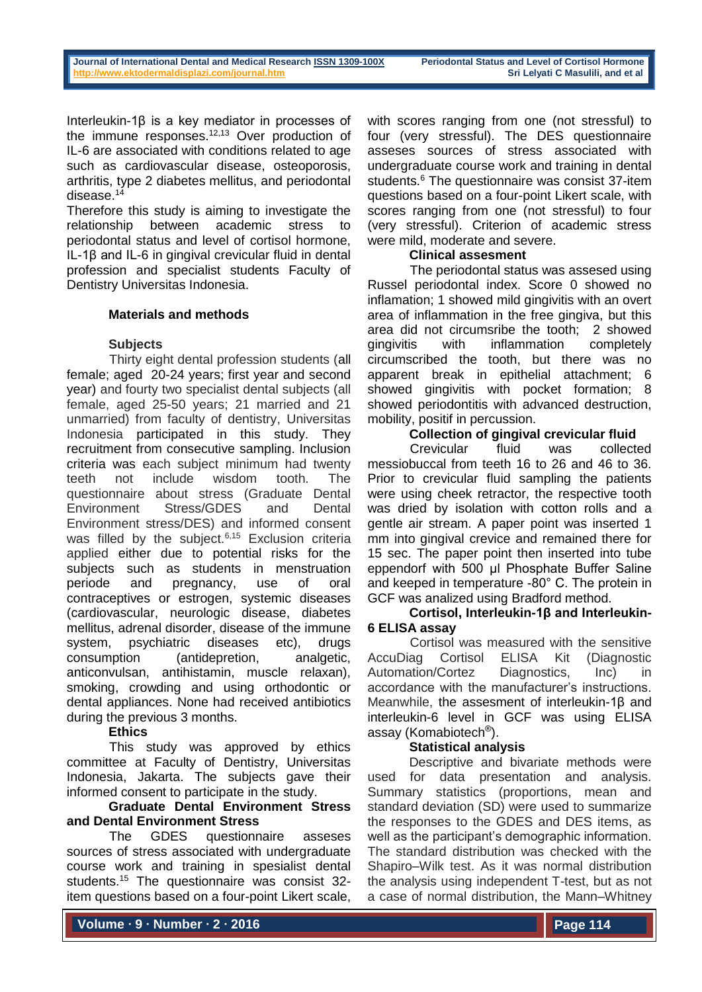Interleukin-1β is a key mediator in processes of the immune responses. $12,13$  Over production of IL-6 are associated with conditions related to age such as cardiovascular disease, osteoporosis, arthritis, type 2 diabetes mellitus, and periodontal disease.<sup>14</sup>

Therefore this study is aiming to investigate the relationship between academic stress to periodontal status and level of cortisol hormone, IL-1β and IL-6 in gingival crevicular fluid in dental profession and specialist students Faculty of Dentistry Universitas Indonesia.

# **Materials and methods**

# **Subjects**

Thirty eight dental profession students (all female; aged 20-24 years; first year and second year) and fourty two specialist dental subjects (all female, aged 25-50 years; 21 married and 21 unmarried) from faculty of dentistry, Universitas Indonesia participated in this study. They recruitment from consecutive sampling. Inclusion criteria was each subject minimum had twenty teeth not include wisdom tooth. The questionnaire about stress (Graduate Dental Environment Stress/GDES and Dental Environment stress/DES) and informed consent was filled by the subject.<sup>6,15</sup> Exclusion criteria applied either due to potential risks for the subjects such as students in menstruation periode and pregnancy, use of oral contraceptives or estrogen, systemic diseases (cardiovascular, neurologic disease, diabetes mellitus, adrenal disorder, disease of the immune system, psychiatric diseases etc), drugs consumption (antidepretion, analgetic, anticonvulsan, antihistamin, muscle relaxan), smoking, crowding and using orthodontic or dental appliances. None had received antibiotics during the previous 3 months.

### **Ethics**

This study was approved by ethics committee at Faculty of Dentistry, Universitas Indonesia, Jakarta. The subjects gave their informed consent to participate in the study.

# **Graduate Dental Environment Stress and Dental Environment Stress**

The GDES questionnaire asseses sources of stress associated with undergraduate course work and training in spesialist dental students.<sup>15</sup> The questionnaire was consist 32 item questions based on a four-point Likert scale,

with scores ranging from one (not stressful) to four (very stressful). The DES questionnaire asseses sources of stress associated with undergraduate course work and training in dental students.<sup>6</sup> The questionnaire was consist 37-item questions based on a four-point Likert scale, with scores ranging from one (not stressful) to four (very stressful). Criterion of academic stress were mild, moderate and severe.

# **Clinical assesment**

The periodontal status was assesed using Russel periodontal index. Score 0 showed no inflamation; 1 showed mild gingivitis with an overt area of inflammation in the free gingiva, but this area did not circumsribe the tooth; 2 showed gingivitis with inflammation completely circumscribed the tooth, but there was no apparent break in epithelial attachment; 6 showed gingivitis with pocket formation; 8 showed periodontitis with advanced destruction, mobility, positif in percussion.

# **Collection of gingival crevicular fluid**

Crevicular fluid was collected messiobuccal from teeth 16 to 26 and 46 to 36. Prior to crevicular fluid sampling the patients were using cheek retractor, the respective tooth was dried by isolation with cotton rolls and a gentle air stream. A paper point was inserted 1 mm into gingival crevice and remained there for 15 sec. The paper point then inserted into tube eppendorf with 500 µl Phosphate Buffer Saline and keeped in temperature -80° C. The protein in GCF was analized using Bradford method.

# **Cortisol, Interleukin-1β and Interleukin-6 ELISA assay**

Cortisol was measured with the sensitive AccuDiag Cortisol ELISA Kit (Diagnostic Automation/Cortez Diagnostics, Inc) in accordance with the manufacturer's instructions. Meanwhile, the assesment of interleukin-1β and interleukin-6 level in GCF was using ELISA assay (Komabiotech® ).

# **Statistical analysis**

Descriptive and bivariate methods were used for data presentation and analysis. Summary statistics (proportions, mean and standard deviation (SD) were used to summarize the responses to the GDES and DES items, as well as the participant's demographic information. The standard distribution was checked with the Shapiro–Wilk test. As it was normal distribution the analysis using independent T-test, but as not a case of normal distribution, the Mann–Whitney

**Volume ∙ 9 ∙ Number ∙ 2 ∙ 2016**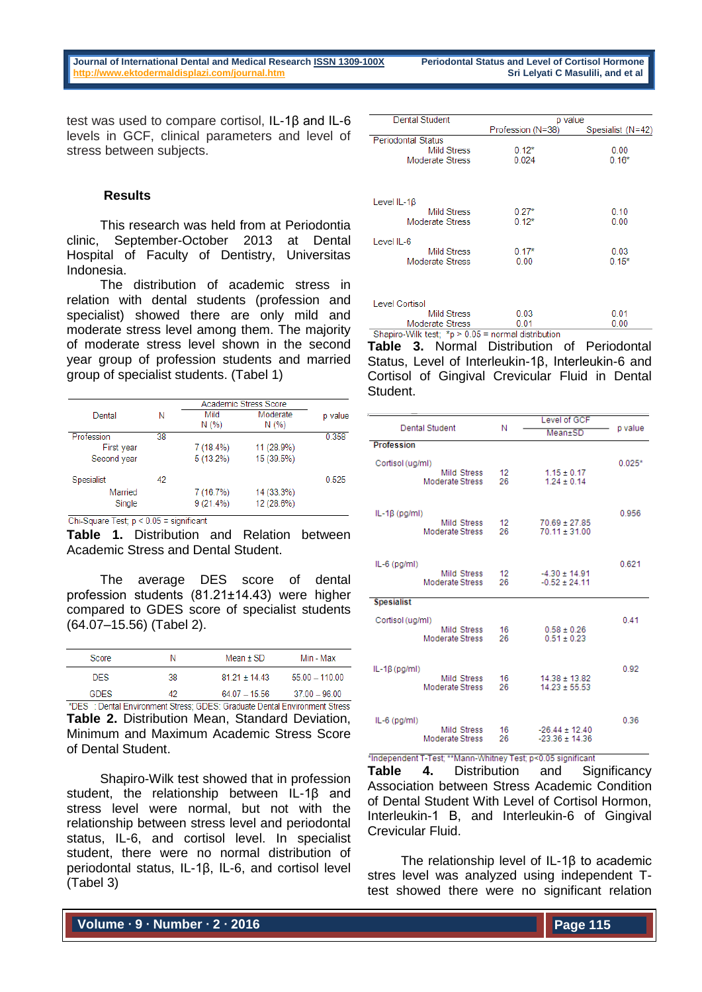test was used to compare cortisol, IL-1β and IL-6 levels in GCF, clinical parameters and level of stress between subjects.

### **Results**

This research was held from at Periodontia clinic, September-October 2013 at Dental Hospital of Faculty of Dentistry, Universitas Indonesia.

The distribution of academic stress in relation with dental students (profession and specialist) showed there are only mild and moderate stress level among them. The majority of moderate stress level shown in the second year group of profession students and married group of specialist students. (Tabel 1)

|                   |    | Academic Stress Score |                  |         |
|-------------------|----|-----------------------|------------------|---------|
| Dental            | Ν  | Mild<br>N(%)          | Moderate<br>N(%) | p value |
| Profession        | 38 |                       |                  | 0.358   |
| First year        |    | $7(18.4\%)$           | 11 (28.9%)       |         |
| Second year       |    | $5(13.2\%)$           | 15 (39.5%)       |         |
| <b>Spesialist</b> | 42 |                       |                  | 0.525   |
| Married           |    | 7 (16.7%)             | 14 (33.3%)       |         |
| Single            |    | $9(21.4\%)$           | 12 (28.6%)       |         |

Chi-Square Test; p < 0.05 = significant

**Table 1.** Distribution and Relation between Academic Stress and Dental Student.

The average DES score of dental profession students (81.21±14.43) were higher compared to GDES score of specialist students (64.07–15.56) (Tabel 2).

| Score              | N   | Mean $\pm$ SD     | Min - Max        |
|--------------------|-----|-------------------|------------------|
| DES.               | 38  | $81.21 \pm 14.43$ | $55.00 - 110.00$ |
| <b>GDES</b>        | 42  | $6407 - 1556$     | $37.00 - 96.00$  |
| - - - -<br>$- - -$ | . . | ---- - - - - - -  | .                |

\*DES : Dental Environment Stress; GDES: Graduate Dental Environment Stress **Table 2.** Distribution Mean, Standard Deviation, Minimum and Maximum Academic Stress Score of Dental Student.

Shapiro-Wilk test showed that in profession student, the relationship between IL-1β and stress level were normal, but not with the relationship between stress level and periodontal status, IL-6, and cortisol level. In specialist student, there were no normal distribution of periodontal status, IL-1β, IL-6, and cortisol level (Tabel 3)

| Dental Student            | p value           |                   |  |
|---------------------------|-------------------|-------------------|--|
|                           | Profession (N=38) | Spesialist (N=42) |  |
| <b>Periodontal Status</b> |                   |                   |  |
| <b>Mild Stress</b>        | $0.12*$           | 0.00              |  |
| Moderate Stress           | 0.024             | $0.16*$           |  |
|                           |                   |                   |  |
| Level IL-1 $\beta$        |                   |                   |  |
| <b>Mild Stress</b>        | $0.27*$           | 0.10              |  |
| Moderate Stress           | $0.12*$           | 0.00              |  |
| Level IL-6                |                   |                   |  |
| <b>Mild Stress</b>        | $0.17*$           | 0.03              |  |
| Moderate Stress           | 0.00              | $0.15*$           |  |
|                           |                   |                   |  |
| <b>Level Cortisol</b>     |                   |                   |  |
| <b>Mild Stress</b>        | 0.03              | 0.01              |  |
| Moderate Stress           | 0 01              | 0.00              |  |

 $0.01$ Moderate Stress Shapiro-Wilk test;  $*p > 0.05$  = normal distribution

**Table 3.** Normal Distribution of Periodontal Status, Level of Interleukin-1β, Interleukin-6 and Cortisol of Gingival Crevicular Fluid in Dental Student.

| <b>Dental Student</b>                        | Ν        | Level of GCF                           | p value  |
|----------------------------------------------|----------|----------------------------------------|----------|
|                                              |          | Mean±SD                                |          |
| <b>Profession</b>                            |          |                                        |          |
| Cortisol (ug/ml)                             |          |                                        | $0.025*$ |
| Mild Stress                                  | 12       | $1.15 \pm 0.17$                        |          |
| Moderate Stress                              | 26       | $1.24 \pm 0.14$                        |          |
|                                              |          |                                        |          |
| IL-1 $\beta$ (pg/ml)                         |          |                                        | 0.956    |
| Mild Stress<br><b>Moderate Stress</b>        | 12<br>26 | $70.69 \pm 27.85$<br>$70.11 \pm 31.00$ |          |
|                                              |          |                                        |          |
|                                              |          |                                        |          |
| $IL-6$ (pg/ml)<br><b>Mild Stress</b>         | 12       | $-4.30 \pm 14.91$                      | 0.621    |
| <b>Moderate Stress</b>                       | 26       | $-0.52 \pm 24.11$                      |          |
| <b>Spesialist</b>                            |          |                                        |          |
|                                              |          |                                        |          |
| Cortisol (ug/ml)                             |          |                                        | 0.41     |
| <b>Mild Stress</b><br><b>Moderate Stress</b> | 16<br>26 | $0.58 \pm 0.26$<br>$0.51 \pm 0.23$     |          |
|                                              |          |                                        |          |
| $IL-1\beta$ (pg/ml)                          |          |                                        | 0.92     |
| <b>Mild Stress</b>                           | 16       | $14.38 \pm 13.82$                      |          |
| <b>Moderate Stress</b>                       | 26       | $14.23 \pm 55.53$                      |          |
|                                              |          |                                        |          |
| $IL-6$ (pg/ml)                               |          |                                        | 0.36     |
| <b>Mild Stress</b>                           | 16       | $-26.44 \pm 12.40$                     |          |
| <b>Moderate Stress</b>                       | 26       | $-23.36 \pm 14.36$                     |          |

\*Independent T-Test: \*\*Mann-Whitney Test: p<0.05 significant

**Table 4.** Distribution and Significancy Association between Stress Academic Condition of Dental Student With Level of Cortisol Hormon, Interleukin-1 Β, and Interleukin-6 of Gingival Crevicular Fluid.

The relationship level of IL-18 to academic stres level was analyzed using independent Ttest showed there were no significant relation

**Volume ∙ 9 ∙ Number ∙ 2 ∙ 2016**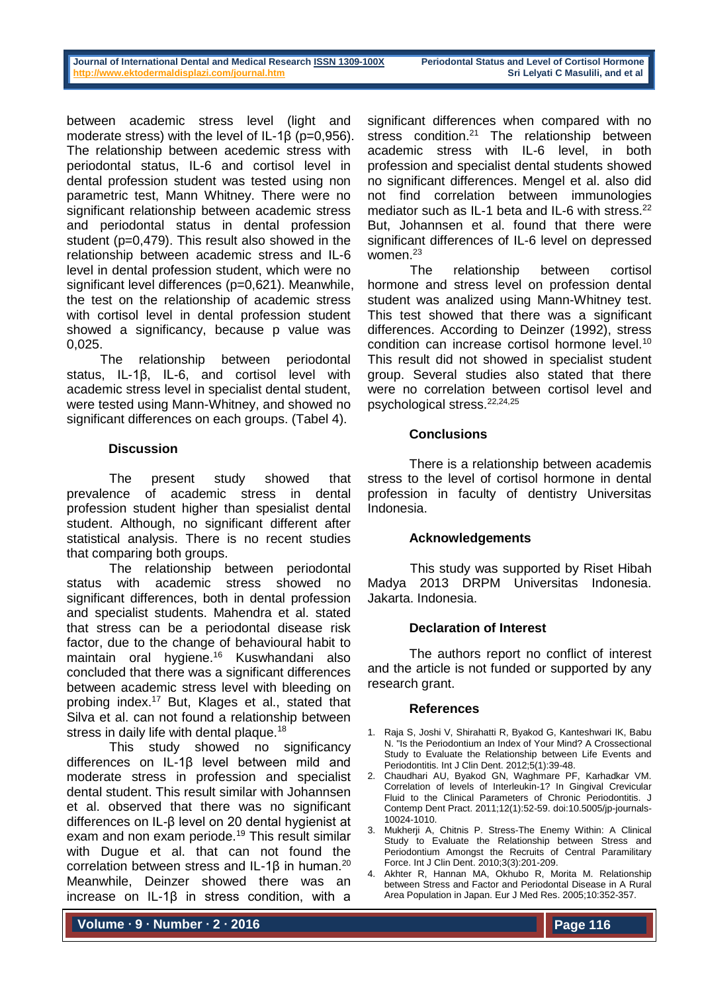between academic stress level (light and moderate stress) with the level of IL-1β (p=0,956). The relationship between acedemic stress with periodontal status, IL-6 and cortisol level in dental profession student was tested using non parametric test, Mann Whitney. There were no significant relationship between academic stress and periodontal status in dental profession student (p=0,479). This result also showed in the relationship between academic stress and IL-6 level in dental profession student, which were no significant level differences (p=0,621). Meanwhile, the test on the relationship of academic stress with cortisol level in dental profession student showed a significancy, because p value was 0,025.

The relationship between periodontal status, IL-1β, IL-6, and cortisol level with academic stress level in specialist dental student, were tested using Mann-Whitney, and showed no significant differences on each groups. (Tabel 4).

# **Discussion**

The present study showed that prevalence of academic stress in dental profession student higher than spesialist dental student. Although, no significant different after statistical analysis. There is no recent studies that comparing both groups.

The relationship between periodontal status with academic stress showed no significant differences, both in dental profession and specialist students. Mahendra et al. stated that stress can be a periodontal disease risk factor, due to the change of behavioural habit to maintain oral hygiene.<sup>16</sup> Kuswhandani also concluded that there was a significant differences between academic stress level with bleeding on probing index.<sup>17</sup> But, Klages et al., stated that Silva et al. can not found a relationship between stress in daily life with dental plaque.<sup>18</sup>

This study showed no significancy differences on IL-1β level between mild and moderate stress in profession and specialist dental student. This result similar with Johannsen et al. observed that there was no significant differences on IL-β level on 20 dental hygienist at exam and non exam periode.<sup>19</sup> This result similar with Dugue et al. that can not found the correlation between stress and IL-1β in human.<sup>20</sup> Meanwhile, Deinzer showed there was an increase on IL-1β in stress condition, with a

significant differences when compared with no stress condition.<sup>21</sup> The relationship between academic stress with IL-6 level, in both profession and specialist dental students showed no significant differences. Mengel et al. also did not find correlation between immunologies mediator such as IL-1 beta and IL-6 with stress.<sup>22</sup> But, Johannsen et al. found that there were significant differences of IL-6 level on depressed women<sup>23</sup>

The relationship between cortisol hormone and stress level on profession dental student was analized using Mann-Whitney test. This test showed that there was a significant differences. According to Deinzer (1992), stress condition can increase cortisol hormone level.<sup>10</sup> This result did not showed in specialist student group. Several studies also stated that there were no correlation between cortisol level and psychological stress.22,24,25

# **Conclusions**

There is a relationship between academis stress to the level of cortisol hormone in dental profession in faculty of dentistry Universitas Indonesia.

### **Acknowledgements**

This study was supported by Riset Hibah Madya 2013 DRPM Universitas Indonesia. Jakarta. Indonesia.

### **Declaration of Interest**

The authors report no conflict of interest and the article is not funded or supported by any research grant.

### **References**

- 1. Raja S, Joshi V, Shirahatti R, Byakod G, Kanteshwari IK, Babu N. "Is the Periodontium an Index of Your Mind? A Crossectional Study to Evaluate the Relationship between Life Events and Periodontitis. Int J Clin Dent. 2012;5(1):39-48.
- 2. Chaudhari AU, Byakod GN, Waghmare PF, Karhadkar VM. Correlation of levels of Interleukin-1? In Gingival Crevicular Fluid to the Clinical Parameters of Chronic Periodontitis. J Contemp Dent Pract. 2011;12(1):52-59. doi:10.5005/jp-journals-10024-1010.
- 3. Mukherji A, Chitnis P. Stress-The Enemy Within: A Clinical Study to Evaluate the Relationship between Stress and Periodontium Amongst the Recruits of Central Paramilitary Force. Int J Clin Dent. 2010;3(3):201-209.
- 4. Akhter R, Hannan MA, Okhubo R, Morita M. Relationship between Stress and Factor and Periodontal Disease in A Rural Area Population in Japan. Eur J Med Res. 2005;10:352-357.

**Volume ∙ 9 ∙ Number ∙ 2 ∙ 2016**